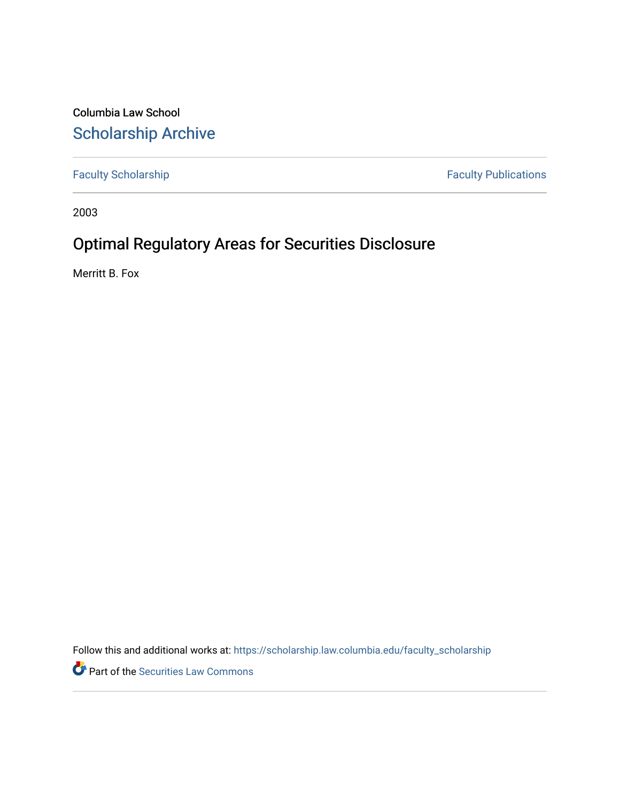Columbia Law School [Scholarship Archive](https://scholarship.law.columbia.edu/) 

[Faculty Scholarship](https://scholarship.law.columbia.edu/faculty_scholarship) **Faculty Publications** 

2003

# Optimal Regulatory Areas for Securities Disclosure

Merritt B. Fox

Follow this and additional works at: [https://scholarship.law.columbia.edu/faculty\\_scholarship](https://scholarship.law.columbia.edu/faculty_scholarship?utm_source=scholarship.law.columbia.edu%2Ffaculty_scholarship%2F2963&utm_medium=PDF&utm_campaign=PDFCoverPages)

**P** Part of the Securities Law Commons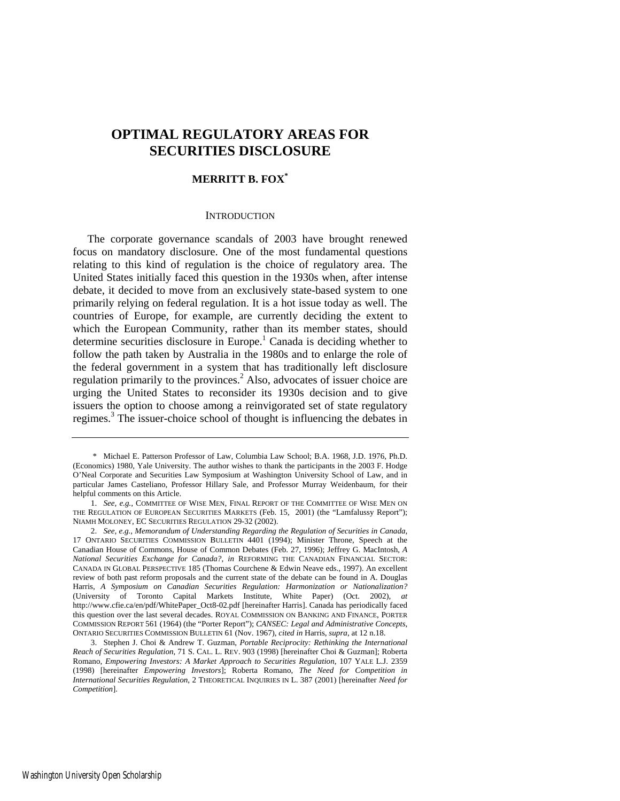# **OPTIMAL REGULATORY AREAS FOR SECURITIES DISCLOSURE**

# **MERRITT B. FOX[\\*](#page-1-0)**

# **INTRODUCTION**

The corporate governance scandals of 2003 have brought renewed focus on mandatory disclosure. One of the most fundamental questions relating to this kind of regulation is the choice of regulatory area. The United States initially faced this question in the 1930s when, after intense debate, it decided to move from an exclusively state-based system to one primarily relying on federal regulation. It is a hot issue today as well. The countries of Europe, for example, are currently deciding the extent to which the European Community, rather than its member states, should determine securities disclosure in Europe.<sup>1</sup> Canada is deciding whether to follow the path taken by Australia in the 1980s and to enlarge the role of the federal government in a system that has traditionally left disclosure regulation primarily to the provinces.<sup>2</sup> Also, advocates of issuer choice are urging the United States to reconsider its 1930s decision and to give issuers the option to choose among a reinvigorated set of state regulatory regimes.<sup>[3](#page-1-3)</sup> The issuer-choice school of thought is influencing the debates in

<span id="page-1-0"></span> <sup>\*</sup> Michael E. Patterson Professor of Law, Columbia Law School; B.A. 1968, J.D. 1976, Ph.D. (Economics) 1980, Yale University. The author wishes to thank the participants in the 2003 F. Hodge O'Neal Corporate and Securities Law Symposium at Washington University School of Law, and in particular James Casteliano, Professor Hillary Sale, and Professor Murray Weidenbaum, for their helpful comments on this Article.

<span id="page-1-1"></span> <sup>1.</sup> *See, e.g.*, COMMITTEE OF WISE MEN, FINAL REPORT OF THE COMMITTEE OF WISE MEN ON THE REGULATION OF EUROPEAN SECURITIES MARKETS (Feb. 15, 2001) (the "Lamfalussy Report"); NIAMH MOLONEY, EC SECURITIES REGULATION 29-32 (2002).

<span id="page-1-2"></span> <sup>2.</sup> *See, e.g.*, *Memorandum of Understanding Regarding the Regulation of Securities in Canada*, 17 ONTARIO SECURITIES COMMISSION BULLETIN 4401 (1994); Minister Throne, Speech at the Canadian House of Commons, House of Common Debates (Feb. 27, 1996); Jeffrey G. MacIntosh, *A National Securities Exchange for Canada?*, *in* REFORMING THE CANADIAN FINANCIAL SECTOR: CANADA IN GLOBAL PERSPECTIVE 185 (Thomas Courchene & Edwin Neave eds., 1997). An excellent review of both past reform proposals and the current state of the debate can be found in A. Douglas Harris, *A Symposium on Canadian Securities Regulation: Harmonization or Nationalization?*  (University of Toronto Capital Markets Institute, White Paper) (Oct. 2002), *at* http://www.cfie.ca/en/pdf/WhitePaper\_Oct8-02.pdf [hereinafter Harris]. Canada has periodically faced this question over the last several decades. ROYAL COMMISSION ON BANKING AND FINANCE, PORTER COMMISSION REPORT 561 (1964) (the "Porter Report"); *CANSEC: Legal and Administrative Concepts*, ONTARIO SECURITIES COMMISSION BULLETIN 61 (Nov. 1967), *cited in* Harris, *supra*, at 12 n.18.

<span id="page-1-3"></span> <sup>3.</sup> Stephen J. Choi & Andrew T. Guzman, *Portable Reciprocity: Rethinking the International Reach of Securities Regulation*, 71 S. CAL. L. REV. 903 (1998) [hereinafter Choi & Guzman]; Roberta Romano, *Empowering Investors: A Market Approach to Securities Regulation*, 107 YALE L.J. 2359 (1998) [hereinafter *Empowering Investors*]; Roberta Romano, *The Need for Competition in International Securities Regulation*, 2 THEORETICAL INQUIRIES IN L. 387 (2001) [hereinafter *Need for Competition*].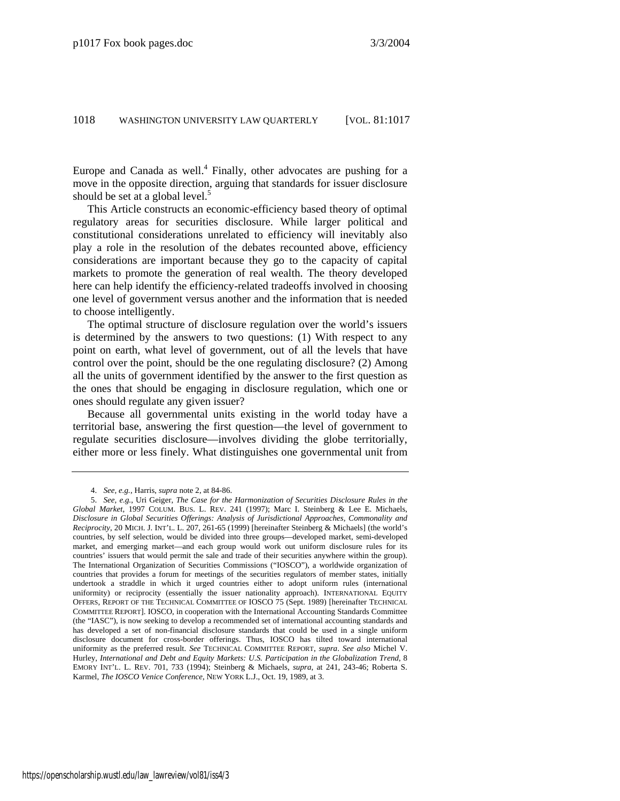Europe and Canada as well.<sup>[4](#page-2-0)</sup> Finally, other advocates are pushing for a move in the opposite direction, arguing that standards for issuer disclosure should be set at a global level. $5$ 

This Article constructs an economic-efficiency based theory of optimal regulatory areas for securities disclosure. While larger political and constitutional considerations unrelated to efficiency will inevitably also play a role in the resolution of the debates recounted above, efficiency considerations are important because they go to the capacity of capital markets to promote the generation of real wealth. The theory developed here can help identify the efficiency-related tradeoffs involved in choosing one level of government versus another and the information that is needed to choose intelligently.

The optimal structure of disclosure regulation over the world's issuers is determined by the answers to two questions: (1) With respect to any point on earth, what level of government, out of all the levels that have control over the point, should be the one regulating disclosure? (2) Among all the units of government identified by the answer to the first question as the ones that should be engaging in disclosure regulation, which one or ones should regulate any given issuer?

Because all governmental units existing in the world today have a territorial base, answering the first question—the level of government to regulate securities disclosure—involves dividing the globe territorially, either more or less finely. What distinguishes one governmental unit from

<span id="page-2-1"></span><span id="page-2-0"></span> <sup>4.</sup> *See, e.g.*, Harris, *supra* note 2, at 84-86.

 <sup>5.</sup> *See, e.g.*, Uri Geiger, *The Case for the Harmonization of Securities Disclosure Rules in the Global Market*, 1997 COLUM. BUS. L. REV. 241 (1997); Marc I. Steinberg & Lee E. Michaels, *Disclosure in Global Securities Offerings: Analysis of Jurisdictional Approaches, Commonality and Reciprocity*, 20 MICH. J. INT'L. L. 207, 261-65 (1999) [hereinafter Steinberg & Michaels] (the world's countries, by self selection, would be divided into three groups—developed market, semi-developed market, and emerging market—and each group would work out uniform disclosure rules for its countries' issuers that would permit the sale and trade of their securities anywhere within the group). The International Organization of Securities Commissions ("IOSCO"), a worldwide organization of countries that provides a forum for meetings of the securities regulators of member states, initially undertook a straddle in which it urged countries either to adopt uniform rules (international uniformity) or reciprocity (essentially the issuer nationality approach). INTERNATIONAL EQUITY OFFERS, REPORT OF THE TECHNICAL COMMITTEE OF IOSCO 75 (Sept. 1989) [hereinafter TECHNICAL COMMITTEE REPORT]. IOSCO, in cooperation with the International Accounting Standards Committee (the "IASC"), is now seeking to develop a recommended set of international accounting standards and has developed a set of non-financial disclosure standards that could be used in a single uniform disclosure document for cross-border offerings. Thus, IOSCO has tilted toward international uniformity as the preferred result. *See* TECHNICAL COMMITTEE REPORT, *supra*. *See also* Michel V. Hurley, *International and Debt and Equity Markets: U.S. Participation in the Globalization Trend*, 8 EMORY INT'L. L. REV. 701, 733 (1994); Steinberg & Michaels, *supra*, at 241, 243-46; Roberta S. Karmel, *The IOSCO Venice Conference*, NEW YORK L.J., Oct. 19, 1989, at 3.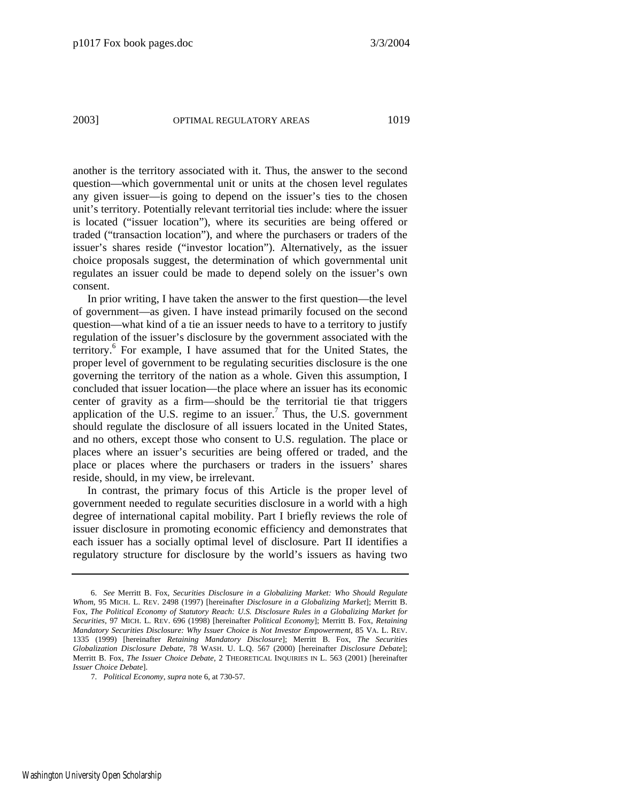another is the territory associated with it. Thus, the answer to the second question—which governmental unit or units at the chosen level regulates any given issuer—is going to depend on the issuer's ties to the chosen unit's territory. Potentially relevant territorial ties include: where the issuer is located ("issuer location"), where its securities are being offered or traded ("transaction location"), and where the purchasers or traders of the issuer's shares reside ("investor location"). Alternatively, as the issuer choice proposals suggest, the determination of which governmental unit regulates an issuer could be made to depend solely on the issuer's own consent.

In prior writing, I have taken the answer to the first question—the level of government—as given. I have instead primarily focused on the second question—what kind of a tie an issuer needs to have to a territory to justify regulation of the issuer's disclosure by the government associated with the territory.[6](#page-3-0) For example, I have assumed that for the United States, the proper level of government to be regulating securities disclosure is the one governing the territory of the nation as a whole. Given this assumption, I concluded that issuer location—the place where an issuer has its economic center of gravity as a firm—should be the territorial tie that triggers application of the U.S. regime to an issuer.<sup>[7](#page-3-1)</sup> Thus, the U.S. government should regulate the disclosure of all issuers located in the United States, and no others, except those who consent to U.S. regulation. The place or places where an issuer's securities are being offered or traded, and the place or places where the purchasers or traders in the issuers' shares reside, should, in my view, be irrelevant.

In contrast, the primary focus of this Article is the proper level of government needed to regulate securities disclosure in a world with a high degree of international capital mobility. Part I briefly reviews the role of issuer disclosure in promoting economic efficiency and demonstrates that each issuer has a socially optimal level of disclosure. Part II identifies a regulatory structure for disclosure by the world's issuers as having two

<span id="page-3-0"></span> <sup>6.</sup> *See* Merritt B. Fox, *Securities Disclosure in a Globalizing Market: Who Should Regulate Whom*, 95 MICH. L. REV. 2498 (1997) [hereinafter *Disclosure in a Globalizing Market*]; Merritt B. Fox, *The Political Economy of Statutory Reach: U.S. Disclosure Rules in a Globalizing Market for Securities*, 97 MICH. L. REV. 696 (1998) [hereinafter *Political Economy*]; Merritt B. Fox, *Retaining Mandatory Securities Disclosure: Why Issuer Choice is Not Investor Empowerment*, 85 VA. L. REV. 1335 (1999) [hereinafter *Retaining Mandatory Disclosure*]; Merritt B. Fox, *The Securities Globalization Disclosure Debate*, 78 WASH. U. L.Q. 567 (2000) [hereinafter *Disclosure Debate*]; Merritt B. Fox, *The Issuer Choice Debate*, 2 THEORETICAL INQUIRIES IN L. 563 (2001) [hereinafter *Issuer Choice Debate*].

<span id="page-3-1"></span> <sup>7.</sup> *Political Economy*, *supra* note 6, at 730-57.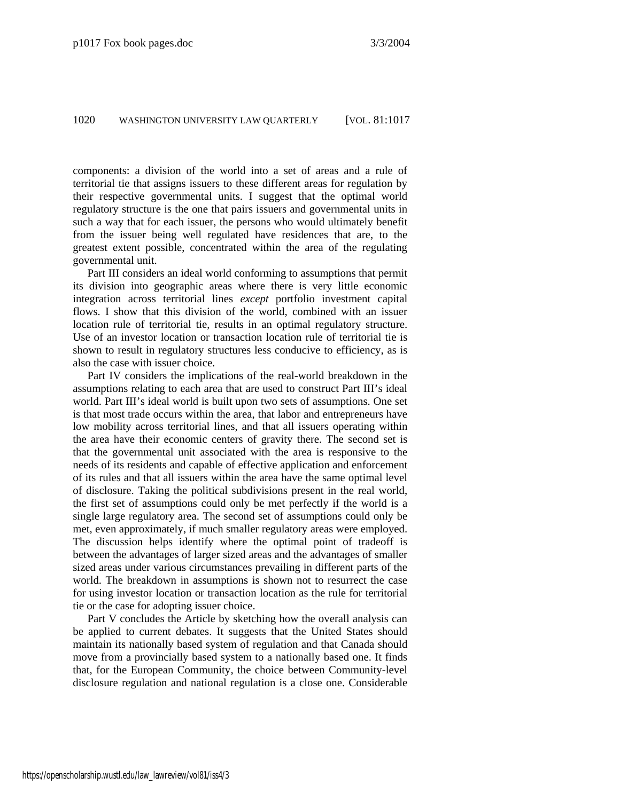components: a division of the world into a set of areas and a rule of territorial tie that assigns issuers to these different areas for regulation by their respective governmental units. I suggest that the optimal world regulatory structure is the one that pairs issuers and governmental units in such a way that for each issuer, the persons who would ultimately benefit from the issuer being well regulated have residences that are, to the greatest extent possible, concentrated within the area of the regulating governmental unit.

Part III considers an ideal world conforming to assumptions that permit its division into geographic areas where there is very little economic integration across territorial lines *except* portfolio investment capital flows. I show that this division of the world, combined with an issuer location rule of territorial tie, results in an optimal regulatory structure. Use of an investor location or transaction location rule of territorial tie is shown to result in regulatory structures less conducive to efficiency, as is also the case with issuer choice.

Part IV considers the implications of the real-world breakdown in the assumptions relating to each area that are used to construct Part III's ideal world. Part III's ideal world is built upon two sets of assumptions. One set is that most trade occurs within the area, that labor and entrepreneurs have low mobility across territorial lines, and that all issuers operating within the area have their economic centers of gravity there. The second set is that the governmental unit associated with the area is responsive to the needs of its residents and capable of effective application and enforcement of its rules and that all issuers within the area have the same optimal level of disclosure. Taking the political subdivisions present in the real world, the first set of assumptions could only be met perfectly if the world is a single large regulatory area. The second set of assumptions could only be met, even approximately, if much smaller regulatory areas were employed. The discussion helps identify where the optimal point of tradeoff is between the advantages of larger sized areas and the advantages of smaller sized areas under various circumstances prevailing in different parts of the world. The breakdown in assumptions is shown not to resurrect the case for using investor location or transaction location as the rule for territorial tie or the case for adopting issuer choice.

Part V concludes the Article by sketching how the overall analysis can be applied to current debates. It suggests that the United States should maintain its nationally based system of regulation and that Canada should move from a provincially based system to a nationally based one. It finds that, for the European Community, the choice between Community-level disclosure regulation and national regulation is a close one. Considerable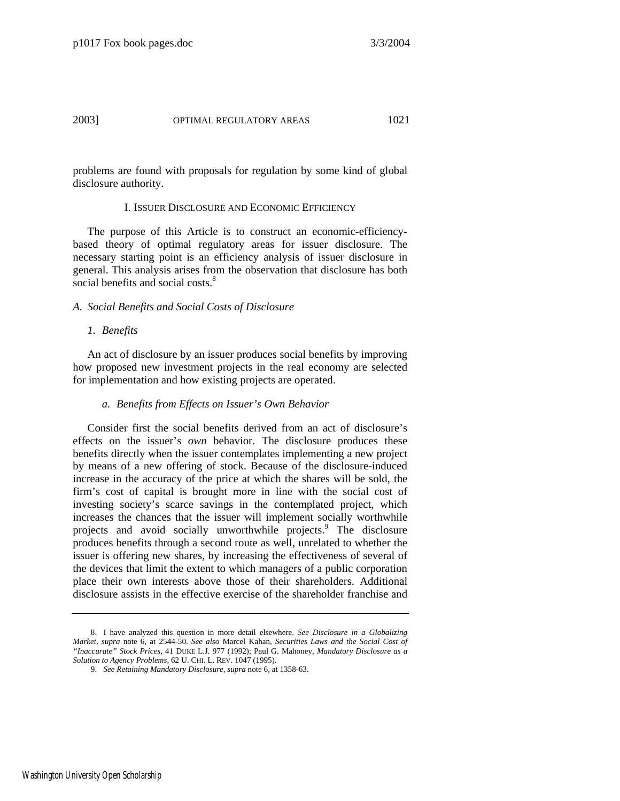problems are found with proposals for regulation by some kind of global disclosure authority.

#### I. ISSUER DISCLOSURE AND ECONOMIC EFFICIENCY

The purpose of this Article is to construct an economic-efficiencybased theory of optimal regulatory areas for issuer disclosure. The necessary starting point is an efficiency analysis of issuer disclosure in general. This analysis arises from the observation that disclosure has both social benefits and social costs.<sup>[8](#page-5-0)</sup>

# *A. Social Benefits and Social Costs of Disclosure*

#### *1. Benefits*

An act of disclosure by an issuer produces social benefits by improving how proposed new investment projects in the real economy are selected for implementation and how existing projects are operated.

#### *a. Benefits from Effects on Issuer's Own Behavior*

Consider first the social benefits derived from an act of disclosure's effects on the issuer's *own* behavior. The disclosure produces these benefits directly when the issuer contemplates implementing a new project by means of a new offering of stock. Because of the disclosure-induced increase in the accuracy of the price at which the shares will be sold, the firm's cost of capital is brought more in line with the social cost of investing society's scarce savings in the contemplated project, which increases the chances that the issuer will implement socially worthwhile projects and avoid socially unworthwhile projects.<sup>[9](#page-5-1)</sup> The disclosure produces benefits through a second route as well, unrelated to whether the issuer is offering new shares, by increasing the effectiveness of several of the devices that limit the extent to which managers of a public corporation place their own interests above those of their shareholders. Additional disclosure assists in the effective exercise of the shareholder franchise and

<span id="page-5-0"></span> <sup>8.</sup> I have analyzed this question in more detail elsewhere. *See Disclosure in a Globalizing Market*, *supra* note 6, at 2544-50. *See also* Marcel Kahan, *Securities Laws and the Social Cost of "Inaccurate" Stock Prices*, 41 DUKE L.J. 977 (1992); Paul G. Mahoney, *Mandatory Disclosure as a Solution to Agency Problems*, 62 U. CHI. L. REV. 1047 (1995).

<span id="page-5-1"></span> <sup>9.</sup> *See Retaining Mandatory Disclosure*, *supra* note 6, at 1358-63.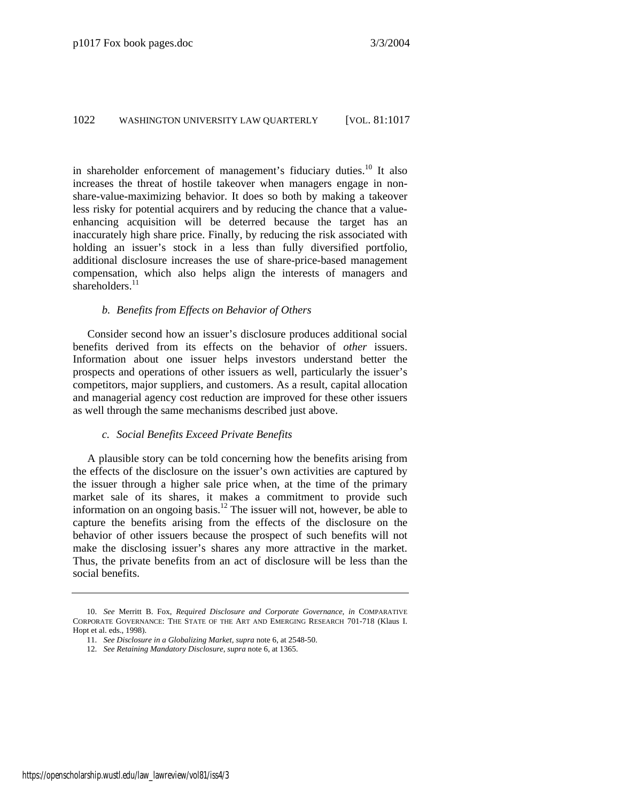in shareholder enforcement of management's fiduciary duties.<sup>10</sup> It also increases the threat of hostile takeover when managers engage in nonshare-value-maximizing behavior. It does so both by making a takeover less risky for potential acquirers and by reducing the chance that a valueenhancing acquisition will be deterred because the target has an inaccurately high share price. Finally, by reducing the risk associated with holding an issuer's stock in a less than fully diversified portfolio, additional disclosure increases the use of share-price-based management compensation, which also helps align the interests of managers and shareholders. $^{11}$ 

#### *b. Benefits from Effects on Behavior of Others*

Consider second how an issuer's disclosure produces additional social benefits derived from its effects on the behavior of *other* issuers. Information about one issuer helps investors understand better the prospects and operations of other issuers as well, particularly the issuer's competitors, major suppliers, and customers. As a result, capital allocation and managerial agency cost reduction are improved for these other issuers as well through the same mechanisms described just above.

# *c. Social Benefits Exceed Private Benefits*

A plausible story can be told concerning how the benefits arising from the effects of the disclosure on the issuer's own activities are captured by the issuer through a higher sale price when, at the time of the primary market sale of its shares, it makes a commitment to provide such information on an ongoing basis.<sup>12</sup> The issuer will not, however, be able to capture the benefits arising from the effects of the disclosure on the behavior of other issuers because the prospect of such benefits will not make the disclosing issuer's shares any more attractive in the market. Thus, the private benefits from an act of disclosure will be less than the social benefits.

<span id="page-6-0"></span> <sup>10.</sup> *See* Merritt B. Fox, *Required Disclosure and Corporate Governance*, *in* COMPARATIVE CORPORATE GOVERNANCE: THE STATE OF THE ART AND EMERGING RESEARCH 701-718 (Klaus I. Hopt et al. eds., 1998).

<span id="page-6-1"></span> <sup>11.</sup> *See Disclosure in a Globalizing Market*, *supra* note 6, at 2548-50.

<span id="page-6-2"></span> <sup>12.</sup> *See Retaining Mandatory Disclosure*, *supra* note 6, at 1365.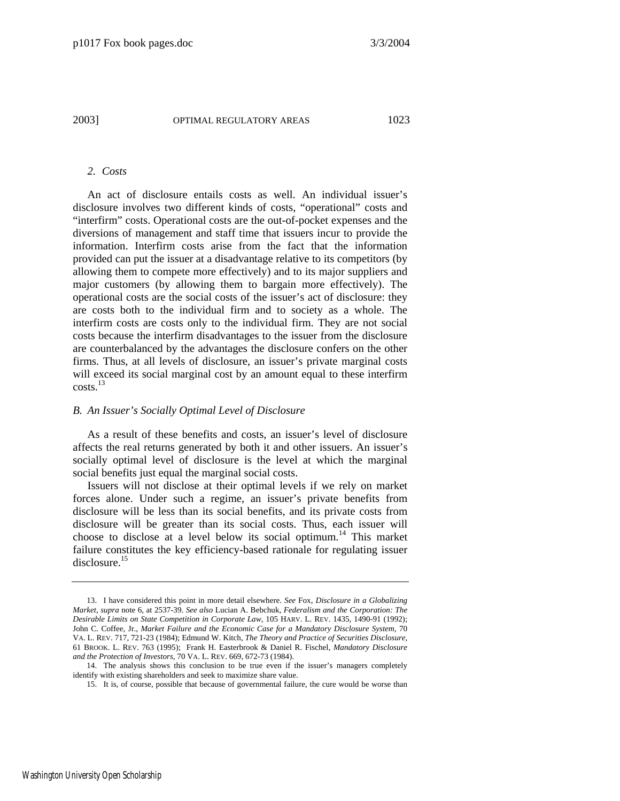#### *2. Costs*

An act of disclosure entails costs as well. An individual issuer's disclosure involves two different kinds of costs, "operational" costs and "interfirm" costs. Operational costs are the out-of-pocket expenses and the diversions of management and staff time that issuers incur to provide the information. Interfirm costs arise from the fact that the information provided can put the issuer at a disadvantage relative to its competitors (by allowing them to compete more effectively) and to its major suppliers and major customers (by allowing them to bargain more effectively). The operational costs are the social costs of the issuer's act of disclosure: they are costs both to the individual firm and to society as a whole. The interfirm costs are costs only to the individual firm. They are not social costs because the interfirm disadvantages to the issuer from the disclosure are counterbalanced by the advantages the disclosure confers on the other firms. Thus, at all levels of disclosure, an issuer's private marginal costs will exceed its social marginal cost by an amount equal to these interfirm  $costs.<sup>13</sup>$ 

#### *B. An Issuer's Socially Optimal Level of Disclosure*

As a result of these benefits and costs, an issuer's level of disclosure affects the real returns generated by both it and other issuers. An issuer's socially optimal level of disclosure is the level at which the marginal social benefits just equal the marginal social costs.

Issuers will not disclose at their optimal levels if we rely on market forces alone. Under such a regime, an issuer's private benefits from disclosure will be less than its social benefits, and its private costs from disclosure will be greater than its social costs. Thus, each issuer will choose to disclose at a level below its social optimum.<sup>14</sup> This market failure constitutes the key efficiency-based rationale for regulating issuer disclosure.[15](#page-7-2) 

<span id="page-7-0"></span> <sup>13.</sup> I have considered this point in more detail elsewhere. *See* Fox, *Disclosure in a Globalizing Market*, *supra* note 6, at 2537-39. *See also* Lucian A. Bebchuk, *Federalism and the Corporation: The Desirable Limits on State Competition in Corporate Law*, 105 HARV. L. REV. 1435, 1490-91 (1992); John C. Coffee, Jr., *Market Failure and the Economic Case for a Mandatory Disclosure System*, 70 VA. L. REV. 717, 721-23 (1984); Edmund W. Kitch, *The Theory and Practice of Securities Disclosure*, 61 BROOK. L. REV. 763 (1995); Frank H. Easterbrook & Daniel R. Fischel, *Mandatory Disclosure and the Protection of Investors*, 70 VA. L. REV. 669, 672-73 (1984).

<span id="page-7-1"></span> <sup>14.</sup> The analysis shows this conclusion to be true even if the issuer's managers completely identify with existing shareholders and seek to maximize share value.

<span id="page-7-2"></span> <sup>15.</sup> It is, of course, possible that because of governmental failure, the cure would be worse than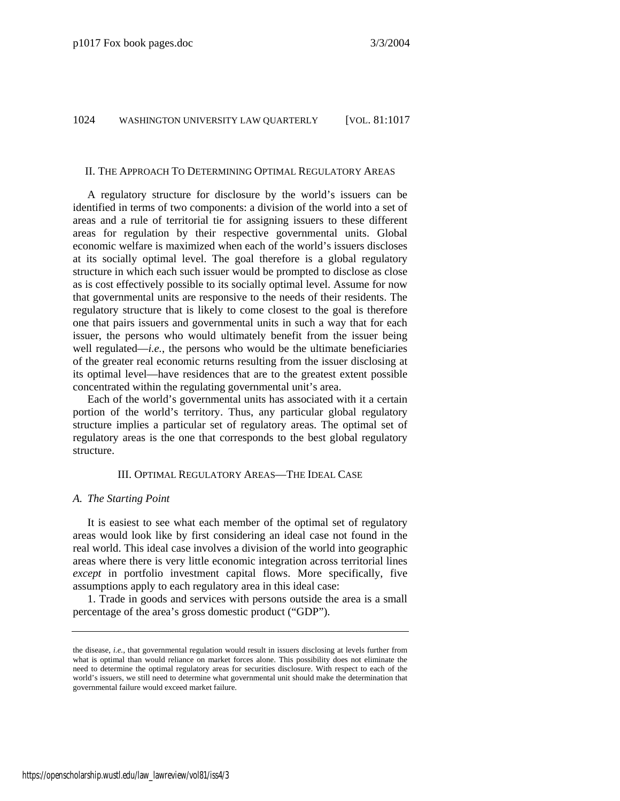# II. THE APPROACH TO DETERMINING OPTIMAL REGULATORY AREAS

A regulatory structure for disclosure by the world's issuers can be identified in terms of two components: a division of the world into a set of areas and a rule of territorial tie for assigning issuers to these different areas for regulation by their respective governmental units. Global economic welfare is maximized when each of the world's issuers discloses at its socially optimal level. The goal therefore is a global regulatory structure in which each such issuer would be prompted to disclose as close as is cost effectively possible to its socially optimal level. Assume for now that governmental units are responsive to the needs of their residents. The regulatory structure that is likely to come closest to the goal is therefore one that pairs issuers and governmental units in such a way that for each issuer, the persons who would ultimately benefit from the issuer being well regulated—*i.e.*, the persons who would be the ultimate beneficiaries of the greater real economic returns resulting from the issuer disclosing at its optimal level—have residences that are to the greatest extent possible concentrated within the regulating governmental unit's area.

Each of the world's governmental units has associated with it a certain portion of the world's territory. Thus, any particular global regulatory structure implies a particular set of regulatory areas. The optimal set of regulatory areas is the one that corresponds to the best global regulatory structure.

#### III. OPTIMAL REGULATORY AREAS—THE IDEAL CASE

#### *A. The Starting Point*

It is easiest to see what each member of the optimal set of regulatory areas would look like by first considering an ideal case not found in the real world. This ideal case involves a division of the world into geographic areas where there is very little economic integration across territorial lines *except* in portfolio investment capital flows. More specifically, five assumptions apply to each regulatory area in this ideal case:

1. Trade in goods and services with persons outside the area is a small percentage of the area's gross domestic product ("GDP").

the disease, *i.e.*, that governmental regulation would result in issuers disclosing at levels further from what is optimal than would reliance on market forces alone. This possibility does not eliminate the need to determine the optimal regulatory areas for securities disclosure. With respect to each of the world's issuers, we still need to determine what governmental unit should make the determination that governmental failure would exceed market failure.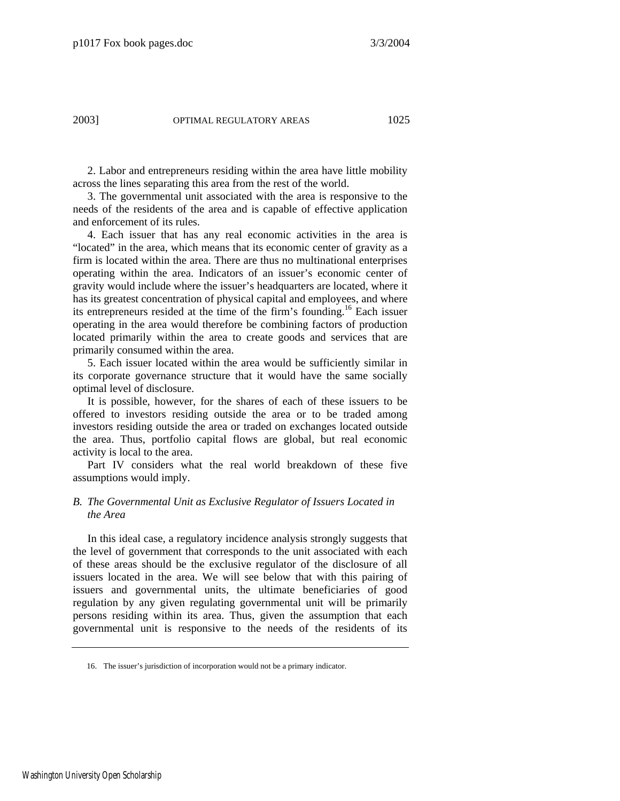2. Labor and entrepreneurs residing within the area have little mobility across the lines separating this area from the rest of the world.

3. The governmental unit associated with the area is responsive to the needs of the residents of the area and is capable of effective application and enforcement of its rules.

4. Each issuer that has any real economic activities in the area is "located" in the area, which means that its economic center of gravity as a firm is located within the area. There are thus no multinational enterprises operating within the area. Indicators of an issuer's economic center of gravity would include where the issuer's headquarters are located, where it has its greatest concentration of physical capital and employees, and where its entrepreneurs resided at the time of the firm's founding.<sup>16</sup> Each issuer operating in the area would therefore be combining factors of production located primarily within the area to create goods and services that are primarily consumed within the area.

5. Each issuer located within the area would be sufficiently similar in its corporate governance structure that it would have the same socially optimal level of disclosure.

It is possible, however, for the shares of each of these issuers to be offered to investors residing outside the area or to be traded among investors residing outside the area or traded on exchanges located outside the area. Thus, portfolio capital flows are global, but real economic activity is local to the area.

Part IV considers what the real world breakdown of these five assumptions would imply.

# *B. The Governmental Unit as Exclusive Regulator of Issuers Located in the Area*

In this ideal case, a regulatory incidence analysis strongly suggests that the level of government that corresponds to the unit associated with each of these areas should be the exclusive regulator of the disclosure of all issuers located in the area. We will see below that with this pairing of issuers and governmental units, the ultimate beneficiaries of good regulation by any given regulating governmental unit will be primarily persons residing within its area. Thus, given the assumption that each governmental unit is responsive to the needs of the residents of its

<span id="page-9-0"></span> <sup>16.</sup> The issuer's jurisdiction of incorporation would not be a primary indicator.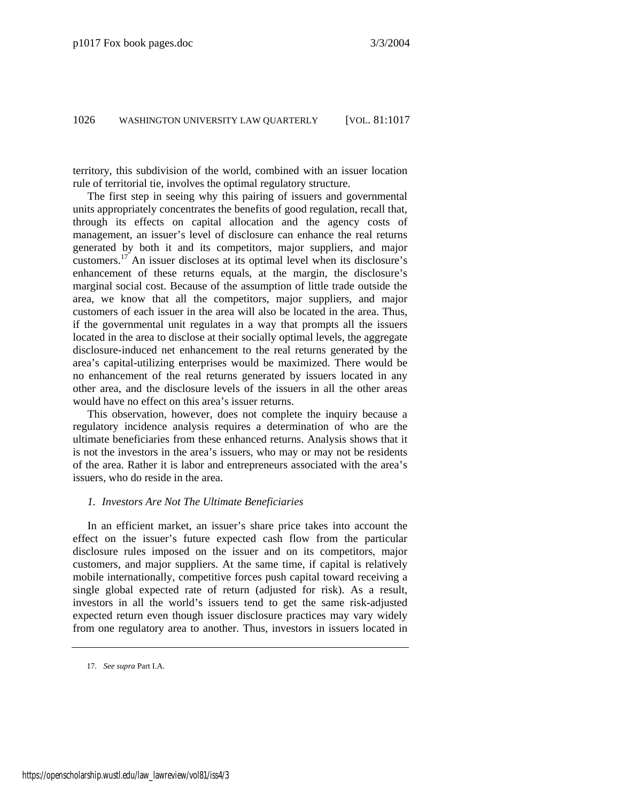territory, this subdivision of the world, combined with an issuer location rule of territorial tie, involves the optimal regulatory structure.

The first step in seeing why this pairing of issuers and governmental units appropriately concentrates the benefits of good regulation, recall that, through its effects on capital allocation and the agency costs of management, an issuer's level of disclosure can enhance the real returns generated by both it and its competitors, major suppliers, and major customers.[17](#page-10-0) An issuer discloses at its optimal level when its disclosure's enhancement of these returns equals, at the margin, the disclosure's marginal social cost. Because of the assumption of little trade outside the area, we know that all the competitors, major suppliers, and major customers of each issuer in the area will also be located in the area. Thus, if the governmental unit regulates in a way that prompts all the issuers located in the area to disclose at their socially optimal levels, the aggregate disclosure-induced net enhancement to the real returns generated by the area's capital-utilizing enterprises would be maximized. There would be no enhancement of the real returns generated by issuers located in any other area, and the disclosure levels of the issuers in all the other areas would have no effect on this area's issuer returns.

This observation, however, does not complete the inquiry because a regulatory incidence analysis requires a determination of who are the ultimate beneficiaries from these enhanced returns. Analysis shows that it is not the investors in the area's issuers, who may or may not be residents of the area. Rather it is labor and entrepreneurs associated with the area's issuers, who do reside in the area.

# *1. Investors Are Not The Ultimate Beneficiaries*

In an efficient market, an issuer's share price takes into account the effect on the issuer's future expected cash flow from the particular disclosure rules imposed on the issuer and on its competitors, major customers, and major suppliers. At the same time, if capital is relatively mobile internationally, competitive forces push capital toward receiving a single global expected rate of return (adjusted for risk). As a result, investors in all the world's issuers tend to get the same risk-adjusted expected return even though issuer disclosure practices may vary widely from one regulatory area to another. Thus, investors in issuers located in

<span id="page-10-0"></span><sup>17</sup>*. See supra* Part I.A.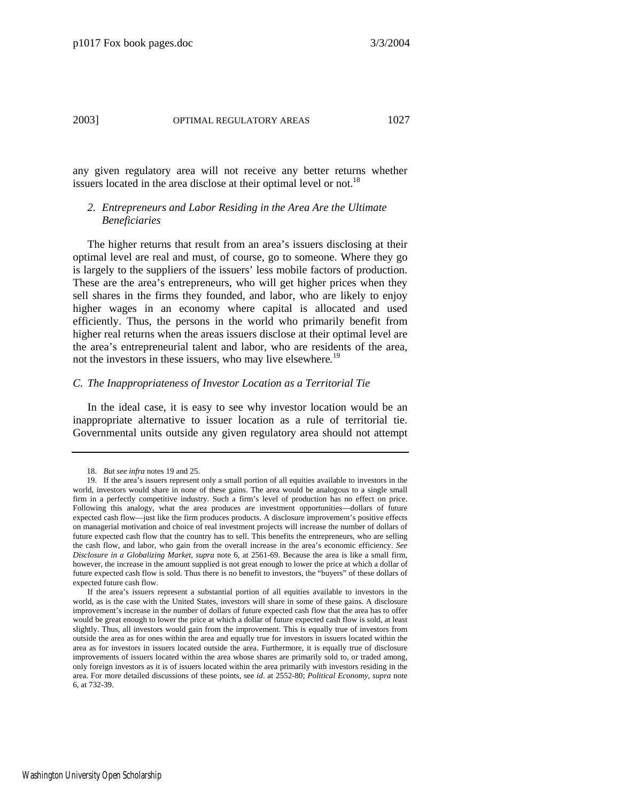any given regulatory area will not receive any better returns whether issuers located in the area disclose at their optimal level or not.<sup>[18](#page-11-0)</sup>

# *2. Entrepreneurs and Labor Residing in the Area Are the Ultimate Beneficiaries*

The higher returns that result from an area's issuers disclosing at their optimal level are real and must, of course, go to someone. Where they go is largely to the suppliers of the issuers' less mobile factors of production. These are the area's entrepreneurs, who will get higher prices when they sell shares in the firms they founded, and labor, who are likely to enjoy higher wages in an economy where capital is allocated and used efficiently. Thus, the persons in the world who primarily benefit from higher real returns when the areas issuers disclose at their optimal level are the area's entrepreneurial talent and labor, who are residents of the area, not the investors in these issuers, who may live elsewhere*.* [19](#page-11-1)

#### *C. The Inappropriateness of Investor Location as a Territorial Tie*

In the ideal case, it is easy to see why investor location would be an inappropriate alternative to issuer location as a rule of territorial tie. Governmental units outside any given regulatory area should not attempt

<span id="page-11-1"></span><span id="page-11-0"></span> <sup>18.</sup> *But see infra* notes 19 and 25.

 <sup>19.</sup> If the area's issuers represent only a small portion of all equities available to investors in the world, investors would share in none of these gains. The area would be analogous to a single small firm in a perfectly competitive industry. Such a firm's level of production has no effect on price. Following this analogy, what the area produces are investment opportunities—dollars of future expected cash flow—just like the firm produces products. A disclosure improvement's positive effects on managerial motivation and choice of real investment projects will increase the number of dollars of future expected cash flow that the country has to sell. This benefits the entrepreneurs, who are selling the cash flow, and labor, who gain from the overall increase in the area's economic efficiency. *See Disclosure in a Globalizing Market*, *supra* note 6, at 2561-69. Because the area is like a small firm, however, the increase in the amount supplied is not great enough to lower the price at which a dollar of future expected cash flow is sold. Thus there is no benefit to investors, the "buyers" of these dollars of expected future cash flow.

If the area's issuers represent a substantial portion of all equities available to investors in the world, as is the case with the United States, investors will share in some of these gains. A disclosure improvement's increase in the number of dollars of future expected cash flow that the area has to offer would be great enough to lower the price at which a dollar of future expected cash flow is sold, at least slightly. Thus, all investors would gain from the improvement. This is equally true of investors from outside the area as for ones within the area and equally true for investors in issuers located within the area as for investors in issuers located outside the area. Furthermore, it is equally true of disclosure improvements of issuers located within the area whose shares are primarily sold to, or traded among, only foreign investors as it is of issuers located within the area primarily with investors residing in the area. For more detailed discussions of these points, see *id*. at 2552-80; *Political Economy*, *supra* note 6, at 732-39.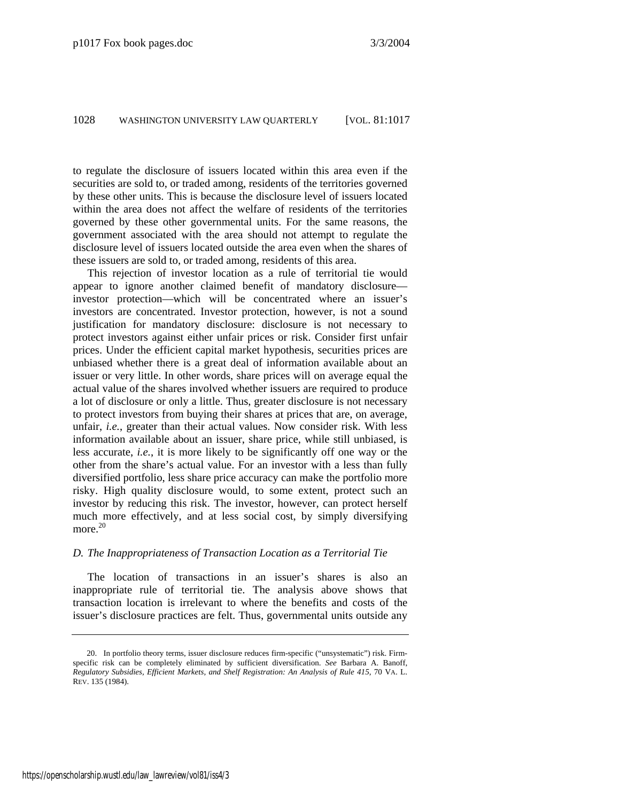to regulate the disclosure of issuers located within this area even if the securities are sold to, or traded among, residents of the territories governed by these other units. This is because the disclosure level of issuers located within the area does not affect the welfare of residents of the territories governed by these other governmental units. For the same reasons, the government associated with the area should not attempt to regulate the disclosure level of issuers located outside the area even when the shares of these issuers are sold to, or traded among, residents of this area.

This rejection of investor location as a rule of territorial tie would appear to ignore another claimed benefit of mandatory disclosure investor protection—which will be concentrated where an issuer's investors are concentrated. Investor protection, however, is not a sound justification for mandatory disclosure: disclosure is not necessary to protect investors against either unfair prices or risk. Consider first unfair prices. Under the efficient capital market hypothesis, securities prices are unbiased whether there is a great deal of information available about an issuer or very little. In other words, share prices will on average equal the actual value of the shares involved whether issuers are required to produce a lot of disclosure or only a little. Thus, greater disclosure is not necessary to protect investors from buying their shares at prices that are, on average, unfair, *i.e.*, greater than their actual values. Now consider risk. With less information available about an issuer, share price, while still unbiased, is less accurate, *i.e.*, it is more likely to be significantly off one way or the other from the share's actual value. For an investor with a less than fully diversified portfolio, less share price accuracy can make the portfolio more risky. High quality disclosure would, to some extent, protect such an investor by reducing this risk. The investor, however, can protect herself much more effectively, and at less social cost, by simply diversifying more. $20$ 

#### *D. The Inappropriateness of Transaction Location as a Territorial Tie*

The location of transactions in an issuer's shares is also an inappropriate rule of territorial tie. The analysis above shows that transaction location is irrelevant to where the benefits and costs of the issuer's disclosure practices are felt. Thus, governmental units outside any

<span id="page-12-0"></span> <sup>20.</sup> In portfolio theory terms, issuer disclosure reduces firm-specific ("unsystematic") risk. Firmspecific risk can be completely eliminated by sufficient diversification. *See* Barbara A. Banoff, *Regulatory Subsidies, Efficient Markets, and Shelf Registration: An Analysis of Rule 415*, 70 VA. L. REV. 135 (1984).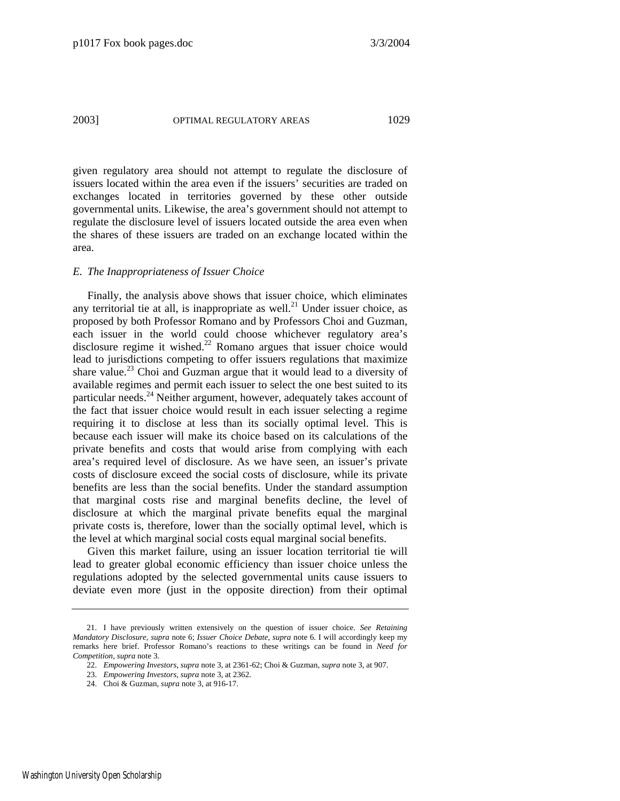given regulatory area should not attempt to regulate the disclosure of issuers located within the area even if the issuers' securities are traded on exchanges located in territories governed by these other outside governmental units. Likewise, the area's government should not attempt to regulate the disclosure level of issuers located outside the area even when the shares of these issuers are traded on an exchange located within the area.

#### *E. The Inappropriateness of Issuer Choice*

Finally, the analysis above shows that issuer choice, which eliminates any territorial tie at all, is inappropriate as well.<sup>21</sup> Under issuer choice, as proposed by both Professor Romano and by Professors Choi and Guzman, each issuer in the world could choose whichever regulatory area's disclosure regime it wished.<sup>22</sup> Romano argues that issuer choice would lead to jurisdictions competing to offer issuers regulations that maximize share value.<sup>23</sup> Choi and Guzman argue that it would lead to a diversity of available regimes and permit each issuer to select the one best suited to its particular needs.<sup>24</sup> Neither argument, however, adequately takes account of the fact that issuer choice would result in each issuer selecting a regime requiring it to disclose at less than its socially optimal level. This is because each issuer will make its choice based on its calculations of the private benefits and costs that would arise from complying with each area's required level of disclosure. As we have seen, an issuer's private costs of disclosure exceed the social costs of disclosure, while its private benefits are less than the social benefits. Under the standard assumption that marginal costs rise and marginal benefits decline, the level of disclosure at which the marginal private benefits equal the marginal private costs is, therefore, lower than the socially optimal level, which is the level at which marginal social costs equal marginal social benefits.

Given this market failure, using an issuer location territorial tie will lead to greater global economic efficiency than issuer choice unless the regulations adopted by the selected governmental units cause issuers to deviate even more (just in the opposite direction) from their optimal

<span id="page-13-0"></span> <sup>21.</sup> I have previously written extensively on the question of issuer choice. *See Retaining Mandatory Disclosure*, *supra* note 6; *Issuer Choice Debate*, *supra* note 6. I will accordingly keep my remarks here brief. Professor Romano's reactions to these writings can be found in *Need for Competition*, *supra* note 3.

<span id="page-13-1"></span> <sup>22.</sup> *Empowering Investors*, *supra* note 3, at 2361-62; Choi & Guzman, *supra* note 3, at 907.

<span id="page-13-2"></span> <sup>23.</sup> *Empowering Investors*, *supra* note 3, at 2362.

<span id="page-13-3"></span> <sup>24.</sup> Choi & Guzman, *supra* note 3, at 916-17.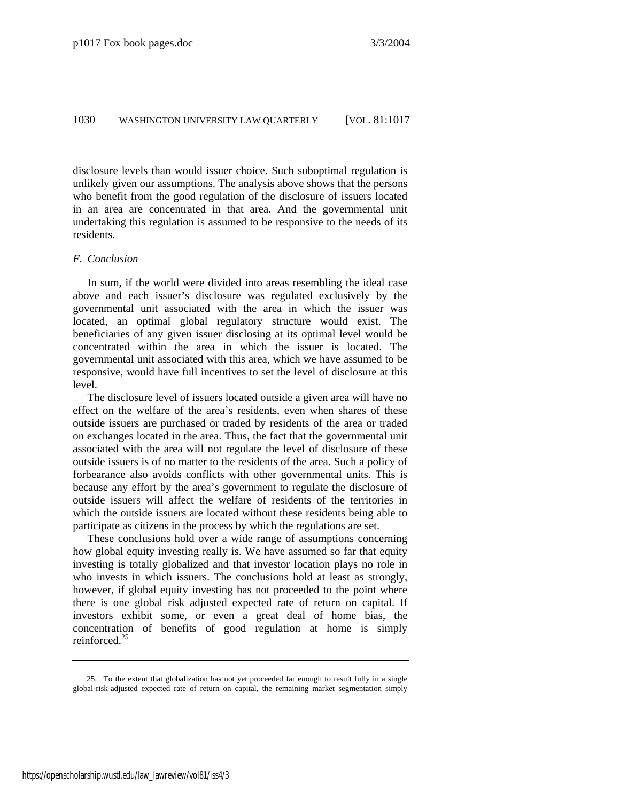<span id="page-14-0"></span>disclosure levels than would issuer choice. Such suboptimal regulation is unlikely given our assumptions. The analysis above shows that the persons who benefit from the good regulation of the disclosure of issuers located in an area are concentrated in that area. And the governmental unit undertaking this regulation is assumed to be responsive to the needs of its residents.

# *F. Conclusion*

In sum, if the world were divided into areas resembling the ideal case above and each issuer's disclosure was regulated exclusively by the governmental unit associated with the area in which the issuer was located, an optimal global regulatory structure would exist. The beneficiaries of any given issuer disclosing at its optimal level would be concentrated within the area in which the issuer is located. The governmental unit associated with this area, which we have assumed to be responsive, would have full incentives to set the level of disclosure at this level.

The disclosure level of issuers located outside a given area will have no effect on the welfare of the area's residents, even when shares of these outside issuers are purchased or traded by residents of the area or traded on exchanges located in the area. Thus, the fact that the governmental unit associated with the area will not regulate the level of disclosure of these outside issuers is of no matter to the residents of the area. Such a policy of forbearance also avoids conflicts with other governmental units. This is because any effort by the area's government to regulate the disclosure of outside issuers will affect the welfare of residents of the territories in which the outside issuers are located without these residents being able to participate as citizens in the process by which the regulations are set.

These conclusions hold over a wide range of assumptions concerning how global equity investing really is. We have assumed so far that equity investing is totally globalized and that investor location plays no role in who invests in which issuers. The conclusions hold at least as strongly, however, if global equity investing has not proceeded to the point where there is one global risk adjusted expected rate of return on capital. If investors exhibit some, or even a great deal of home bias, the concentration of benefits of good regulation at home is simply reinforced.[25](#page-14-0)

 <sup>25.</sup> To the extent that globalization has not yet proceeded far enough to result fully in a single global-risk-adjusted expected rate of return on capital, the remaining market segmentation simply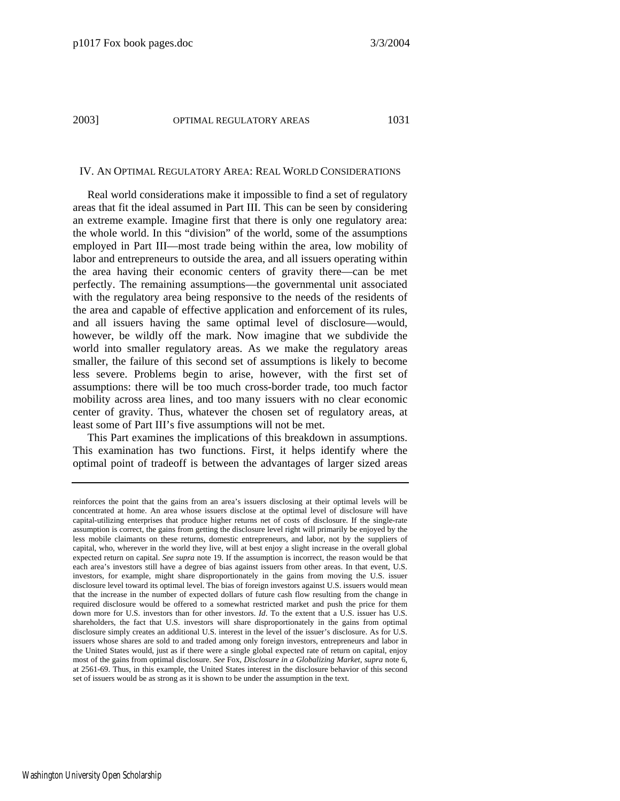#### IV. AN OPTIMAL REGULATORY AREA: REAL WORLD CONSIDERATIONS

Real world considerations make it impossible to find a set of regulatory areas that fit the ideal assumed in Part III. This can be seen by considering an extreme example. Imagine first that there is only one regulatory area: the whole world. In this "division" of the world, some of the assumptions employed in Part III—most trade being within the area, low mobility of labor and entrepreneurs to outside the area, and all issuers operating within the area having their economic centers of gravity there—can be met perfectly. The remaining assumptions—the governmental unit associated with the regulatory area being responsive to the needs of the residents of the area and capable of effective application and enforcement of its rules, and all issuers having the same optimal level of disclosure—would, however, be wildly off the mark. Now imagine that we subdivide the world into smaller regulatory areas. As we make the regulatory areas smaller, the failure of this second set of assumptions is likely to become less severe. Problems begin to arise, however, with the first set of assumptions: there will be too much cross-border trade, too much factor mobility across area lines, and too many issuers with no clear economic center of gravity. Thus, whatever the chosen set of regulatory areas, at least some of Part III's five assumptions will not be met.

This Part examines the implications of this breakdown in assumptions. This examination has two functions. First, it helps identify where the optimal point of tradeoff is between the advantages of larger sized areas

reinforces the point that the gains from an area's issuers disclosing at their optimal levels will be concentrated at home. An area whose issuers disclose at the optimal level of disclosure will have capital-utilizing enterprises that produce higher returns net of costs of disclosure. If the single-rate assumption is correct, the gains from getting the disclosure level right will primarily be enjoyed by the less mobile claimants on these returns, domestic entrepreneurs, and labor, not by the suppliers of capital, who, wherever in the world they live, will at best enjoy a slight increase in the overall global expected return on capital. *See supra* note 19. If the assumption is incorrect, the reason would be that each area's investors still have a degree of bias against issuers from other areas. In that event, U.S. investors, for example, might share disproportionately in the gains from moving the U.S. issuer disclosure level toward its optimal level. The bias of foreign investors against U.S. issuers would mean that the increase in the number of expected dollars of future cash flow resulting from the change in required disclosure would be offered to a somewhat restricted market and push the price for them down more for U.S. investors than for other investors. *Id*. To the extent that a U.S. issuer has U.S. shareholders, the fact that U.S. investors will share disproportionately in the gains from optimal disclosure simply creates an additional U.S. interest in the level of the issuer's disclosure. As for U.S. issuers whose shares are sold to and traded among only foreign investors, entrepreneurs and labor in the United States would, just as if there were a single global expected rate of return on capital, enjoy most of the gains from optimal disclosure. *See* Fox, *Disclosure in a Globalizing Market*, *supra* note 6, at 2561-69. Thus, in this example, the United States interest in the disclosure behavior of this second set of issuers would be as strong as it is shown to be under the assumption in the text.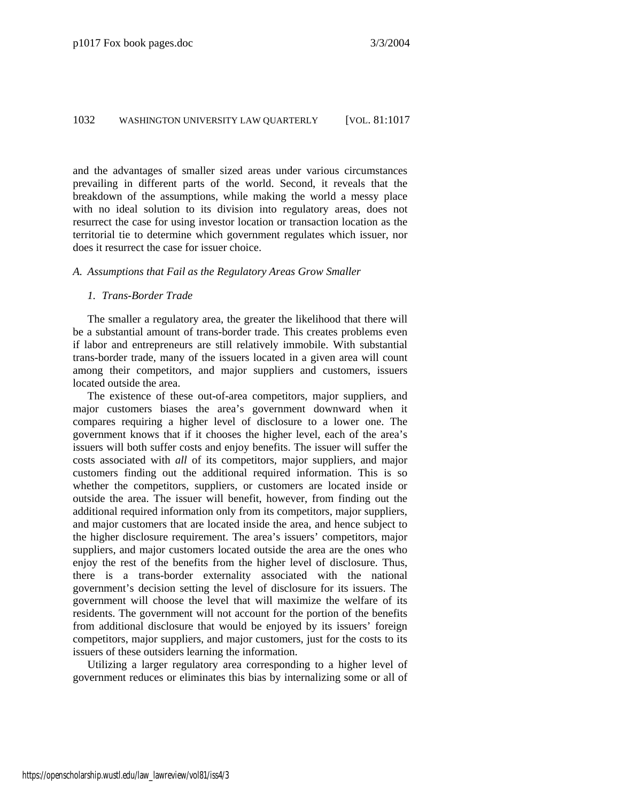and the advantages of smaller sized areas under various circumstances prevailing in different parts of the world. Second, it reveals that the breakdown of the assumptions, while making the world a messy place with no ideal solution to its division into regulatory areas, does not resurrect the case for using investor location or transaction location as the territorial tie to determine which government regulates which issuer, nor does it resurrect the case for issuer choice.

# *A. Assumptions that Fail as the Regulatory Areas Grow Smaller*

#### *1. Trans-Border Trade*

The smaller a regulatory area, the greater the likelihood that there will be a substantial amount of trans-border trade. This creates problems even if labor and entrepreneurs are still relatively immobile. With substantial trans-border trade, many of the issuers located in a given area will count among their competitors, and major suppliers and customers, issuers located outside the area.

The existence of these out-of-area competitors, major suppliers, and major customers biases the area's government downward when it compares requiring a higher level of disclosure to a lower one. The government knows that if it chooses the higher level, each of the area's issuers will both suffer costs and enjoy benefits. The issuer will suffer the costs associated with *all* of its competitors, major suppliers, and major customers finding out the additional required information. This is so whether the competitors, suppliers, or customers are located inside or outside the area. The issuer will benefit, however, from finding out the additional required information only from its competitors, major suppliers, and major customers that are located inside the area, and hence subject to the higher disclosure requirement. The area's issuers' competitors, major suppliers, and major customers located outside the area are the ones who enjoy the rest of the benefits from the higher level of disclosure. Thus, there is a trans-border externality associated with the national government's decision setting the level of disclosure for its issuers. The government will choose the level that will maximize the welfare of its residents. The government will not account for the portion of the benefits from additional disclosure that would be enjoyed by its issuers' foreign competitors, major suppliers, and major customers, just for the costs to its issuers of these outsiders learning the information.

Utilizing a larger regulatory area corresponding to a higher level of government reduces or eliminates this bias by internalizing some or all of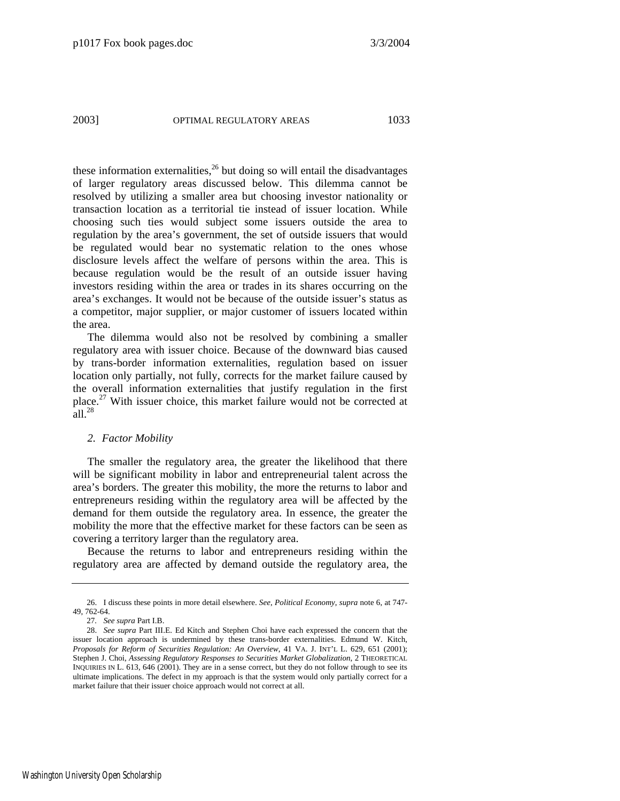these information externalities,<sup>26</sup> but doing so will entail the disadvantages of larger regulatory areas discussed below. This dilemma cannot be resolved by utilizing a smaller area but choosing investor nationality or transaction location as a territorial tie instead of issuer location. While choosing such ties would subject some issuers outside the area to regulation by the area's government, the set of outside issuers that would be regulated would bear no systematic relation to the ones whose disclosure levels affect the welfare of persons within the area. This is because regulation would be the result of an outside issuer having investors residing within the area or trades in its shares occurring on the area's exchanges. It would not be because of the outside issuer's status as a competitor, major supplier, or major customer of issuers located within the area.

The dilemma would also not be resolved by combining a smaller regulatory area with issuer choice. Because of the downward bias caused by trans-border information externalities, regulation based on issuer location only partially, not fully, corrects for the market failure caused by the overall information externalities that justify regulation in the first place.[27 W](#page-17-1)ith issuer choice, this market failure would not be corrected at  $a$ ll<sup>[28](#page-17-2)</sup>

#### *2. Factor Mobility*

The smaller the regulatory area, the greater the likelihood that there will be significant mobility in labor and entrepreneurial talent across the area's borders. The greater this mobility, the more the returns to labor and entrepreneurs residing within the regulatory area will be affected by the demand for them outside the regulatory area. In essence, the greater the mobility the more that the effective market for these factors can be seen as covering a territory larger than the regulatory area.

Because the returns to labor and entrepreneurs residing within the regulatory area are affected by demand outside the regulatory area, the

<span id="page-17-0"></span> <sup>26.</sup> I discuss these points in more detail elsewhere. *See*, *Political Economy*, *supra* note 6, at 747- 49, 762-64.

<span id="page-17-2"></span><span id="page-17-1"></span><sup>27</sup>*. See supra* Part I.B.

 <sup>28.</sup> *See supra* Part III.E. Ed Kitch and Stephen Choi have each expressed the concern that the issuer location approach is undermined by these trans-border externalities. Edmund W. Kitch, *Proposals for Reform of Securities Regulation: An Overview*, 41 VA. J. INT'L L. 629, 651 (2001); Stephen J. Choi, *Assessing Regulatory Responses to Securities Market Globalization*, 2 THEORETICAL INQUIRIES IN L. 613, 646 (2001). They are in a sense correct, but they do not follow through to see its ultimate implications. The defect in my approach is that the system would only partially correct for a market failure that their issuer choice approach would not correct at all.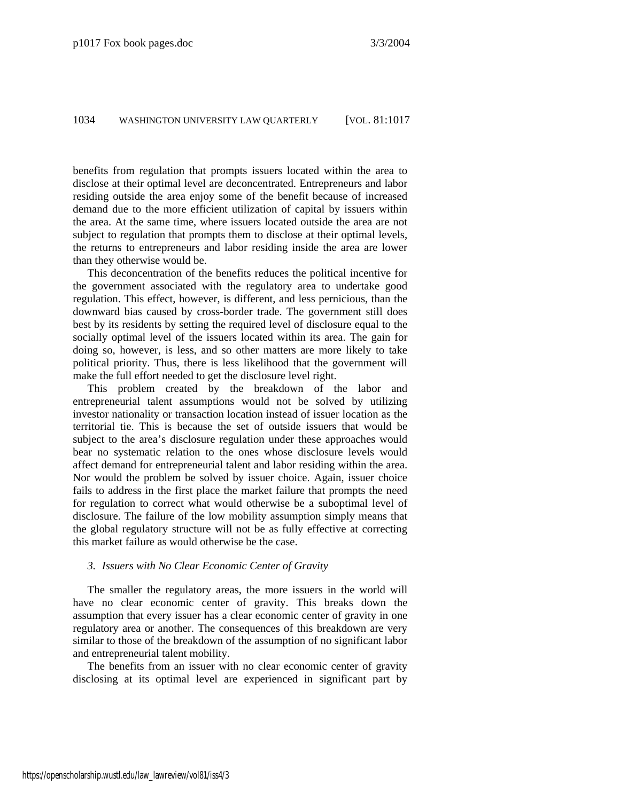benefits from regulation that prompts issuers located within the area to disclose at their optimal level are deconcentrated. Entrepreneurs and labor residing outside the area enjoy some of the benefit because of increased demand due to the more efficient utilization of capital by issuers within the area. At the same time, where issuers located outside the area are not subject to regulation that prompts them to disclose at their optimal levels, the returns to entrepreneurs and labor residing inside the area are lower than they otherwise would be.

This deconcentration of the benefits reduces the political incentive for the government associated with the regulatory area to undertake good regulation. This effect, however, is different, and less pernicious, than the downward bias caused by cross-border trade. The government still does best by its residents by setting the required level of disclosure equal to the socially optimal level of the issuers located within its area. The gain for doing so, however, is less, and so other matters are more likely to take political priority. Thus, there is less likelihood that the government will make the full effort needed to get the disclosure level right.

This problem created by the breakdown of the labor and entrepreneurial talent assumptions would not be solved by utilizing investor nationality or transaction location instead of issuer location as the territorial tie. This is because the set of outside issuers that would be subject to the area's disclosure regulation under these approaches would bear no systematic relation to the ones whose disclosure levels would affect demand for entrepreneurial talent and labor residing within the area. Nor would the problem be solved by issuer choice. Again, issuer choice fails to address in the first place the market failure that prompts the need for regulation to correct what would otherwise be a suboptimal level of disclosure. The failure of the low mobility assumption simply means that the global regulatory structure will not be as fully effective at correcting this market failure as would otherwise be the case.

# *3. Issuers with No Clear Economic Center of Gravity*

The smaller the regulatory areas, the more issuers in the world will have no clear economic center of gravity. This breaks down the assumption that every issuer has a clear economic center of gravity in one regulatory area or another. The consequences of this breakdown are very similar to those of the breakdown of the assumption of no significant labor and entrepreneurial talent mobility.

The benefits from an issuer with no clear economic center of gravity disclosing at its optimal level are experienced in significant part by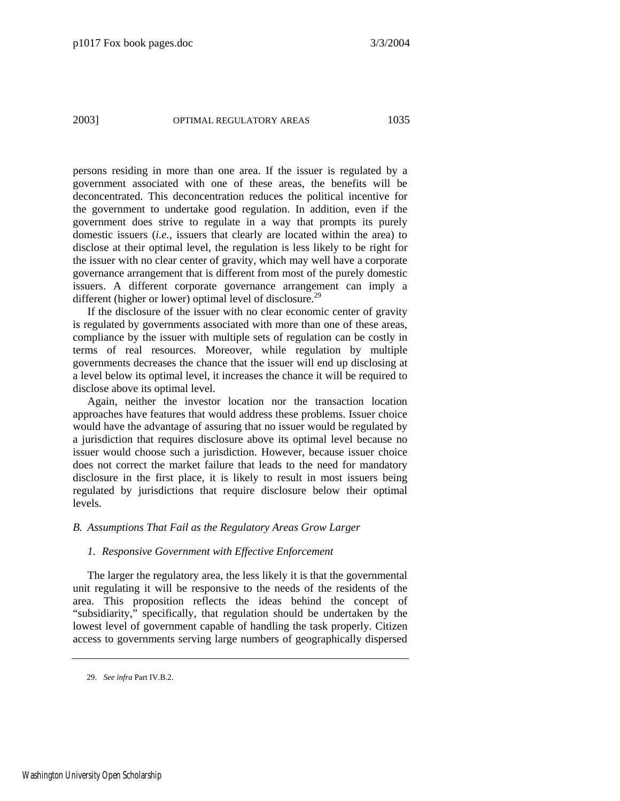persons residing in more than one area. If the issuer is regulated by a government associated with one of these areas, the benefits will be deconcentrated. This deconcentration reduces the political incentive for the government to undertake good regulation. In addition, even if the government does strive to regulate in a way that prompts its purely domestic issuers (*i.e.*, issuers that clearly are located within the area) to disclose at their optimal level, the regulation is less likely to be right for the issuer with no clear center of gravity, which may well have a corporate governance arrangement that is different from most of the purely domestic issuers. A different corporate governance arrangement can imply a different (higher or lower) optimal level of disclosure.<sup>29</sup>

If the disclosure of the issuer with no clear economic center of gravity is regulated by governments associated with more than one of these areas, compliance by the issuer with multiple sets of regulation can be costly in terms of real resources. Moreover, while regulation by multiple governments decreases the chance that the issuer will end up disclosing at a level below its optimal level, it increases the chance it will be required to disclose above its optimal level.

Again, neither the investor location nor the transaction location approaches have features that would address these problems. Issuer choice would have the advantage of assuring that no issuer would be regulated by a jurisdiction that requires disclosure above its optimal level because no issuer would choose such a jurisdiction. However, because issuer choice does not correct the market failure that leads to the need for mandatory disclosure in the first place, it is likely to result in most issuers being regulated by jurisdictions that require disclosure below their optimal levels.

# *B. Assumptions That Fail as the Regulatory Areas Grow Larger*

# *1. Responsive Government with Effective Enforcement*

The larger the regulatory area, the less likely it is that the governmental unit regulating it will be responsive to the needs of the residents of the area. This proposition reflects the ideas behind the concept of "subsidiarity," specifically, that regulation should be undertaken by the lowest level of government capable of handling the task properly. Citizen access to governments serving large numbers of geographically dispersed

<span id="page-19-0"></span> <sup>29.</sup> *See infra* Part IV.B.2.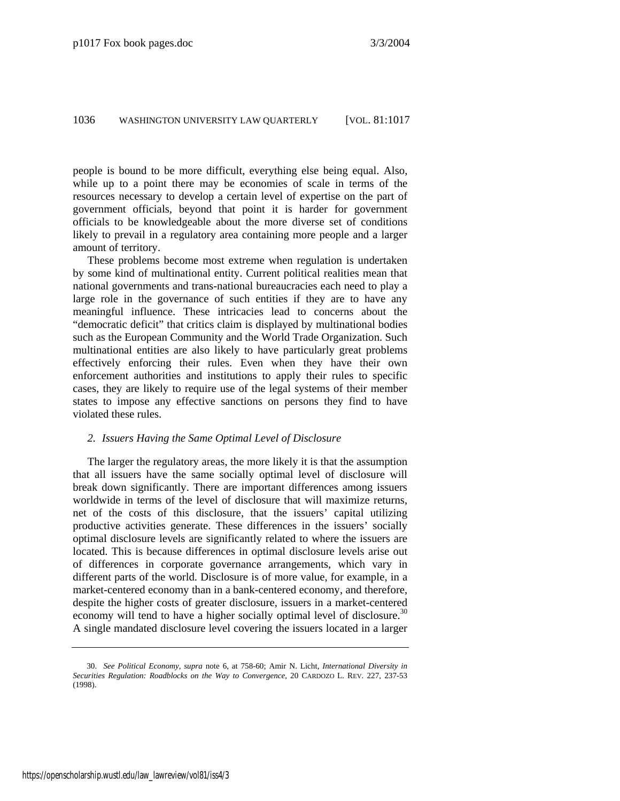people is bound to be more difficult, everything else being equal. Also, while up to a point there may be economies of scale in terms of the resources necessary to develop a certain level of expertise on the part of government officials, beyond that point it is harder for government officials to be knowledgeable about the more diverse set of conditions likely to prevail in a regulatory area containing more people and a larger amount of territory.

These problems become most extreme when regulation is undertaken by some kind of multinational entity. Current political realities mean that national governments and trans-national bureaucracies each need to play a large role in the governance of such entities if they are to have any meaningful influence. These intricacies lead to concerns about the "democratic deficit" that critics claim is displayed by multinational bodies such as the European Community and the World Trade Organization. Such multinational entities are also likely to have particularly great problems effectively enforcing their rules. Even when they have their own enforcement authorities and institutions to apply their rules to specific cases, they are likely to require use of the legal systems of their member states to impose any effective sanctions on persons they find to have violated these rules.

# *2. Issuers Having the Same Optimal Level of Disclosure*

The larger the regulatory areas, the more likely it is that the assumption that all issuers have the same socially optimal level of disclosure will break down significantly. There are important differences among issuers worldwide in terms of the level of disclosure that will maximize returns, net of the costs of this disclosure, that the issuers' capital utilizing productive activities generate. These differences in the issuers' socially optimal disclosure levels are significantly related to where the issuers are located. This is because differences in optimal disclosure levels arise out of differences in corporate governance arrangements, which vary in different parts of the world. Disclosure is of more value, for example, in a market-centered economy than in a bank-centered economy, and therefore, despite the higher costs of greater disclosure, issuers in a market-centered economy will tend to have a higher socially optimal level of disclosure.<sup>[30](#page-20-0)</sup> A single mandated disclosure level covering the issuers located in a larger

<span id="page-20-0"></span> <sup>30.</sup> *See Political Economy*, *supra* note 6, at 758-60; Amir N. Licht, *International Diversity in Securities Regulation: Roadblocks on the Way to Convergence*, 20 CARDOZO L. REV. 227, 237-53 (1998).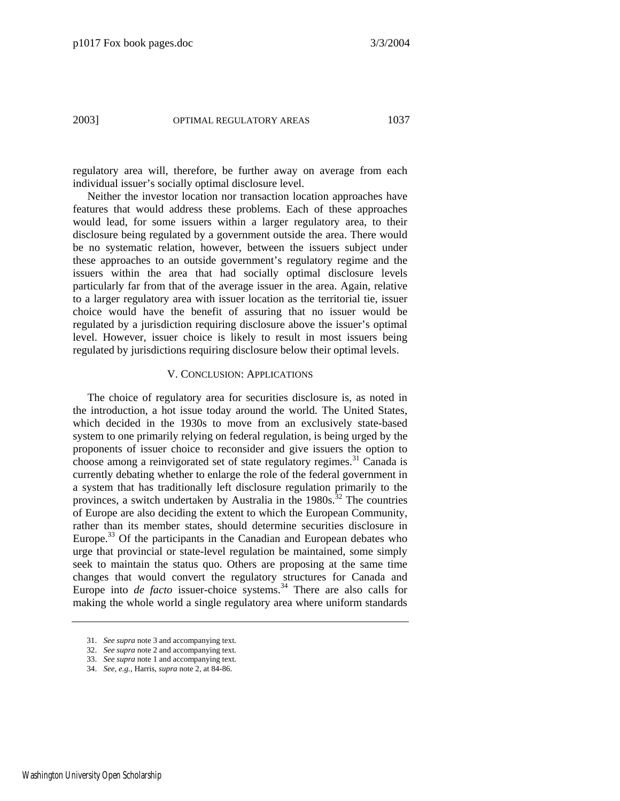regulatory area will, therefore, be further away on average from each individual issuer's socially optimal disclosure level.

Neither the investor location nor transaction location approaches have features that would address these problems. Each of these approaches would lead, for some issuers within a larger regulatory area, to their disclosure being regulated by a government outside the area. There would be no systematic relation, however, between the issuers subject under these approaches to an outside government's regulatory regime and the issuers within the area that had socially optimal disclosure levels particularly far from that of the average issuer in the area. Again, relative to a larger regulatory area with issuer location as the territorial tie, issuer choice would have the benefit of assuring that no issuer would be regulated by a jurisdiction requiring disclosure above the issuer's optimal level. However, issuer choice is likely to result in most issuers being regulated by jurisdictions requiring disclosure below their optimal levels.

# V. CONCLUSION: APPLICATIONS

The choice of regulatory area for securities disclosure is, as noted in the introduction, a hot issue today around the world. The United States, which decided in the 1930s to move from an exclusively state-based system to one primarily relying on federal regulation, is being urged by the proponents of issuer choice to reconsider and give issuers the option to choose among a reinvigorated set of state regulatory regimes.<sup>31</sup> Canada is currently debating whether to enlarge the role of the federal government in a system that has traditionally left disclosure regulation primarily to the provinces, a switch undertaken by Australia in the  $1980s$ .<sup>32</sup> The countries of Europe are also deciding the extent to which the European Community, rather than its member states, should determine securities disclosure in Europe.<sup>33</sup> Of the participants in the Canadian and European debates who urge that provincial or state-level regulation be maintained, some simply seek to maintain the status quo. Others are proposing at the same time changes that would convert the regulatory structures for Canada and Europe into *de facto* issuer-choice systems.<sup>34</sup> There are also calls for making the whole world a single regulatory area where uniform standards

<span id="page-21-0"></span> <sup>31.</sup> *See supra* note 3 and accompanying text.

<span id="page-21-1"></span> <sup>32.</sup> *See supra* note 2 and accompanying text.

<span id="page-21-2"></span> <sup>33.</sup> *See supra* note 1 and accompanying text.

<span id="page-21-3"></span> <sup>34.</sup> *See, e.g.*, Harris, *supra* note 2, at 84-86.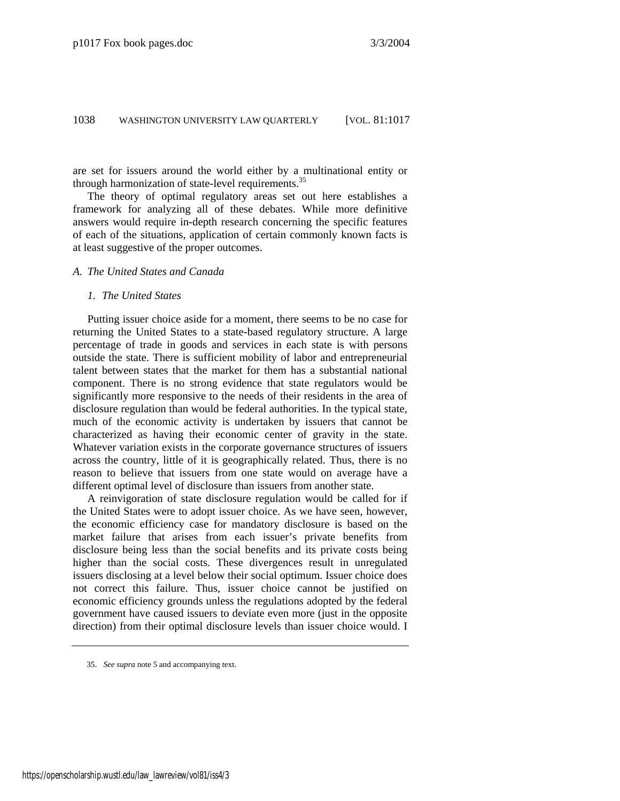are set for issuers around the world either by a multinational entity or through harmonization of state-level requirements.<sup>35</sup>

The theory of optimal regulatory areas set out here establishes a framework for analyzing all of these debates. While more definitive answers would require in-depth research concerning the specific features of each of the situations, application of certain commonly known facts is at least suggestive of the proper outcomes.

# *A. The United States and Canada*

#### *1. The United States*

Putting issuer choice aside for a moment, there seems to be no case for returning the United States to a state-based regulatory structure. A large percentage of trade in goods and services in each state is with persons outside the state. There is sufficient mobility of labor and entrepreneurial talent between states that the market for them has a substantial national component. There is no strong evidence that state regulators would be significantly more responsive to the needs of their residents in the area of disclosure regulation than would be federal authorities. In the typical state, much of the economic activity is undertaken by issuers that cannot be characterized as having their economic center of gravity in the state. Whatever variation exists in the corporate governance structures of issuers across the country, little of it is geographically related. Thus, there is no reason to believe that issuers from one state would on average have a different optimal level of disclosure than issuers from another state.

A reinvigoration of state disclosure regulation would be called for if the United States were to adopt issuer choice. As we have seen, however, the economic efficiency case for mandatory disclosure is based on the market failure that arises from each issuer's private benefits from disclosure being less than the social benefits and its private costs being higher than the social costs. These divergences result in unregulated issuers disclosing at a level below their social optimum. Issuer choice does not correct this failure. Thus, issuer choice cannot be justified on economic efficiency grounds unless the regulations adopted by the federal government have caused issuers to deviate even more (just in the opposite direction) from their optimal disclosure levels than issuer choice would. I

<span id="page-22-0"></span> <sup>35.</sup> *See supra* note 5 and accompanying text.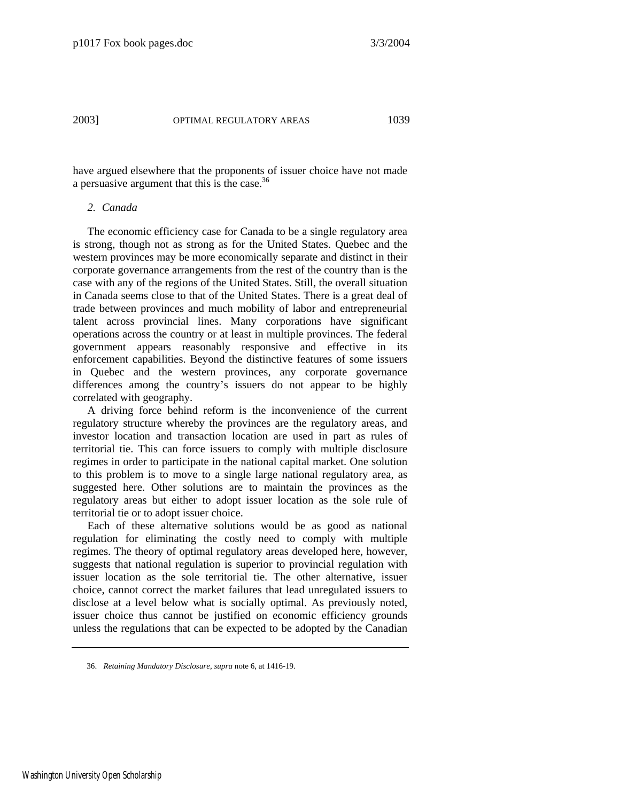have argued elsewhere that the proponents of issuer choice have not made a persuasive argument that this is the case.<sup>[36](#page-23-0)</sup>

# *2. Canada*

The economic efficiency case for Canada to be a single regulatory area is strong, though not as strong as for the United States. Quebec and the western provinces may be more economically separate and distinct in their corporate governance arrangements from the rest of the country than is the case with any of the regions of the United States. Still, the overall situation in Canada seems close to that of the United States. There is a great deal of trade between provinces and much mobility of labor and entrepreneurial talent across provincial lines. Many corporations have significant operations across the country or at least in multiple provinces. The federal government appears reasonably responsive and effective in its enforcement capabilities. Beyond the distinctive features of some issuers in Quebec and the western provinces, any corporate governance differences among the country's issuers do not appear to be highly correlated with geography.

A driving force behind reform is the inconvenience of the current regulatory structure whereby the provinces are the regulatory areas, and investor location and transaction location are used in part as rules of territorial tie. This can force issuers to comply with multiple disclosure regimes in order to participate in the national capital market. One solution to this problem is to move to a single large national regulatory area, as suggested here. Other solutions are to maintain the provinces as the regulatory areas but either to adopt issuer location as the sole rule of territorial tie or to adopt issuer choice.

Each of these alternative solutions would be as good as national regulation for eliminating the costly need to comply with multiple regimes. The theory of optimal regulatory areas developed here, however, suggests that national regulation is superior to provincial regulation with issuer location as the sole territorial tie. The other alternative, issuer choice, cannot correct the market failures that lead unregulated issuers to disclose at a level below what is socially optimal. As previously noted, issuer choice thus cannot be justified on economic efficiency grounds unless the regulations that can be expected to be adopted by the Canadian

<span id="page-23-0"></span> <sup>36.</sup> *Retaining Mandatory Disclosure*, *supra* note 6, at 1416-19.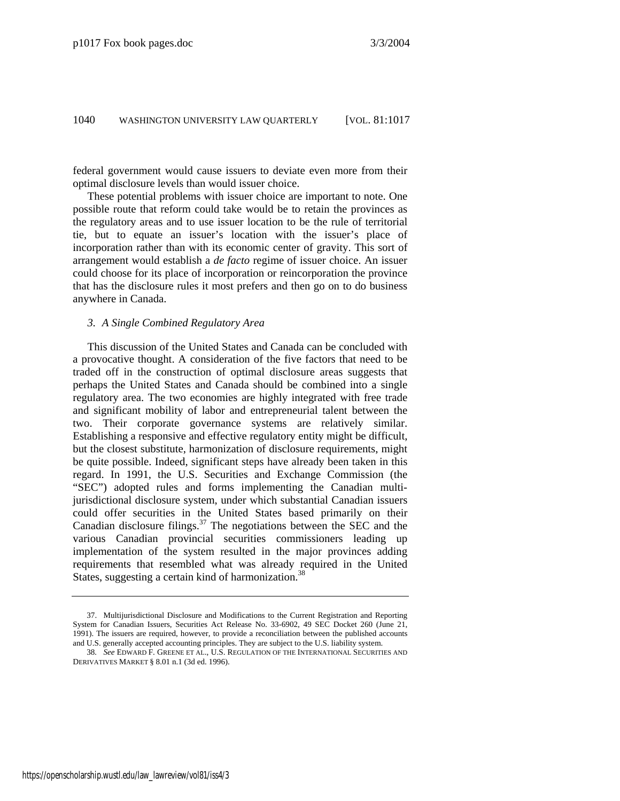federal government would cause issuers to deviate even more from their optimal disclosure levels than would issuer choice.

These potential problems with issuer choice are important to note. One possible route that reform could take would be to retain the provinces as the regulatory areas and to use issuer location to be the rule of territorial tie, but to equate an issuer's location with the issuer's place of incorporation rather than with its economic center of gravity. This sort of arrangement would establish a *de facto* regime of issuer choice. An issuer could choose for its place of incorporation or reincorporation the province that has the disclosure rules it most prefers and then go on to do business anywhere in Canada.

#### *3. A Single Combined Regulatory Area*

This discussion of the United States and Canada can be concluded with a provocative thought. A consideration of the five factors that need to be traded off in the construction of optimal disclosure areas suggests that perhaps the United States and Canada should be combined into a single regulatory area. The two economies are highly integrated with free trade and significant mobility of labor and entrepreneurial talent between the two. Their corporate governance systems are relatively similar. Establishing a responsive and effective regulatory entity might be difficult, but the closest substitute, harmonization of disclosure requirements, might be quite possible. Indeed, significant steps have already been taken in this regard. In 1991, the U.S. Securities and Exchange Commission (the "SEC") adopted rules and forms implementing the Canadian multijurisdictional disclosure system, under which substantial Canadian issuers could offer securities in the United States based primarily on their Canadian disclosure filings. $37$  The negotiations between the SEC and the various Canadian provincial securities commissioners leading up implementation of the system resulted in the major provinces adding requirements that resembled what was already required in the United States, suggesting a certain kind of harmonization.<sup>[38](#page-24-1)</sup>

<span id="page-24-0"></span> <sup>37.</sup> Multijurisdictional Disclosure and Modifications to the Current Registration and Reporting System for Canadian Issuers, Securities Act Release No. 33-6902, 49 SEC Docket 260 (June 21, 1991). The issuers are required, however, to provide a reconciliation between the published accounts and U.S. generally accepted accounting principles. They are subject to the U.S. liability system.

<span id="page-24-1"></span><sup>38</sup>*. See* EDWARD F. GREENE ET AL., U.S. REGULATION OF THE INTERNATIONAL SECURITIES AND DERIVATIVES MARKET § 8.01 n.1 (3d ed. 1996).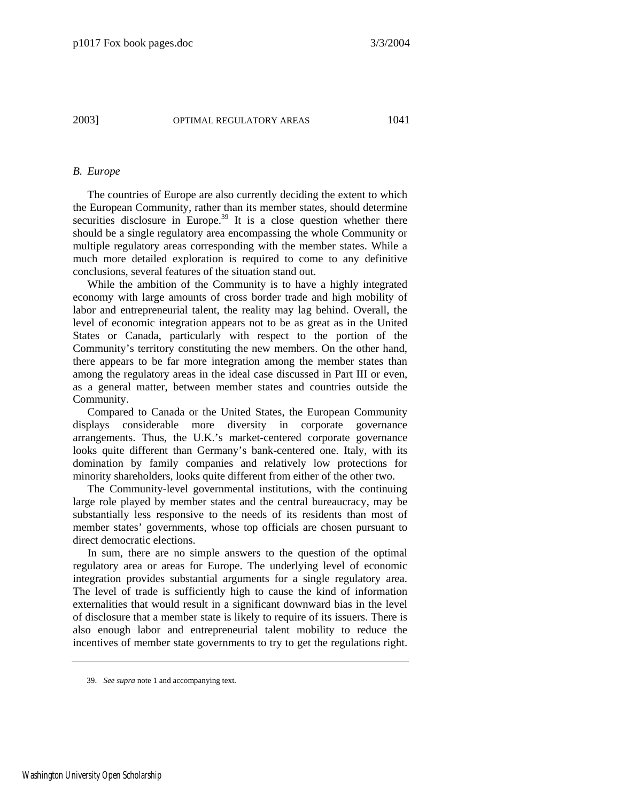# *B. Europe*

The countries of Europe are also currently deciding the extent to which the European Community, rather than its member states, should determine securities disclosure in Europe.<sup>39</sup> It is a close question whether there should be a single regulatory area encompassing the whole Community or multiple regulatory areas corresponding with the member states. While a much more detailed exploration is required to come to any definitive conclusions, several features of the situation stand out.

While the ambition of the Community is to have a highly integrated economy with large amounts of cross border trade and high mobility of labor and entrepreneurial talent, the reality may lag behind. Overall, the level of economic integration appears not to be as great as in the United States or Canada, particularly with respect to the portion of the Community's territory constituting the new members. On the other hand, there appears to be far more integration among the member states than among the regulatory areas in the ideal case discussed in Part III or even, as a general matter, between member states and countries outside the Community.

Compared to Canada or the United States, the European Community displays considerable more diversity in corporate governance arrangements. Thus, the U.K.'s market-centered corporate governance looks quite different than Germany's bank-centered one. Italy, with its domination by family companies and relatively low protections for minority shareholders, looks quite different from either of the other two.

The Community-level governmental institutions, with the continuing large role played by member states and the central bureaucracy, may be substantially less responsive to the needs of its residents than most of member states' governments, whose top officials are chosen pursuant to direct democratic elections.

In sum, there are no simple answers to the question of the optimal regulatory area or areas for Europe. The underlying level of economic integration provides substantial arguments for a single regulatory area. The level of trade is sufficiently high to cause the kind of information externalities that would result in a significant downward bias in the level of disclosure that a member state is likely to require of its issuers. There is also enough labor and entrepreneurial talent mobility to reduce the incentives of member state governments to try to get the regulations right.

<span id="page-25-0"></span>39. *See supra* note 1 and accompanying text.